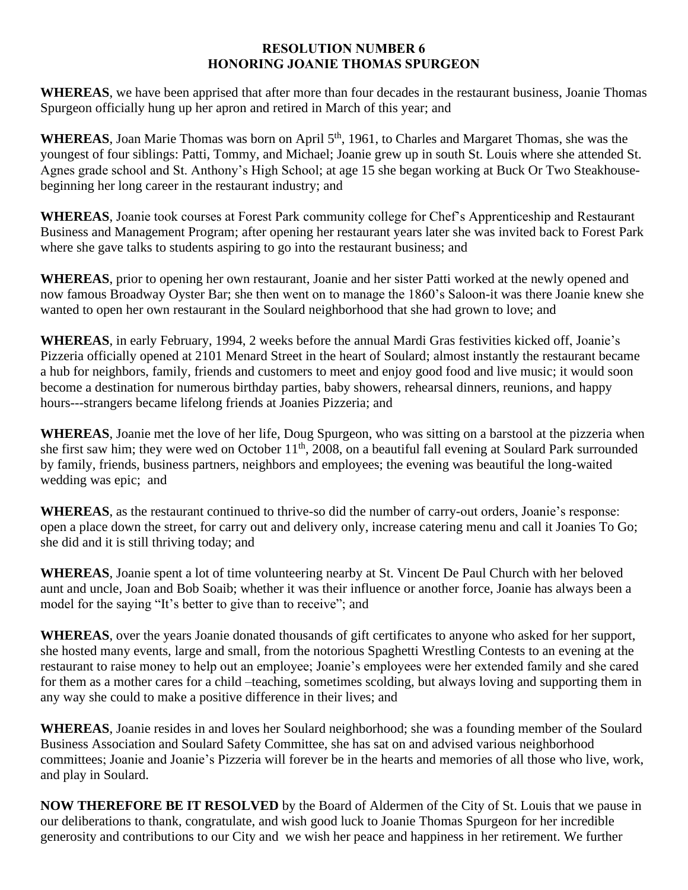## **RESOLUTION NUMBER 6 HONORING JOANIE THOMAS SPURGEON**

**WHEREAS**, we have been apprised that after more than four decades in the restaurant business, Joanie Thomas Spurgeon officially hung up her apron and retired in March of this year; and

**WHEREAS**, Joan Marie Thomas was born on April 5<sup>th</sup>, 1961, to Charles and Margaret Thomas, she was the youngest of four siblings: Patti, Tommy, and Michael; Joanie grew up in south St. Louis where she attended St. Agnes grade school and St. Anthony's High School; at age 15 she began working at Buck Or Two Steakhousebeginning her long career in the restaurant industry; and

**WHEREAS**, Joanie took courses at Forest Park community college for Chef's Apprenticeship and Restaurant Business and Management Program; after opening her restaurant years later she was invited back to Forest Park where she gave talks to students aspiring to go into the restaurant business; and

**WHEREAS**, prior to opening her own restaurant, Joanie and her sister Patti worked at the newly opened and now famous Broadway Oyster Bar; she then went on to manage the 1860's Saloon-it was there Joanie knew she wanted to open her own restaurant in the Soulard neighborhood that she had grown to love; and

**WHEREAS**, in early February, 1994, 2 weeks before the annual Mardi Gras festivities kicked off, Joanie's Pizzeria officially opened at 2101 Menard Street in the heart of Soulard; almost instantly the restaurant became a hub for neighbors, family, friends and customers to meet and enjoy good food and live music; it would soon become a destination for numerous birthday parties, baby showers, rehearsal dinners, reunions, and happy hours---strangers became lifelong friends at Joanies Pizzeria; and

**WHEREAS**, Joanie met the love of her life, Doug Spurgeon, who was sitting on a barstool at the pizzeria when she first saw him; they were wed on October 11<sup>th</sup>, 2008, on a beautiful fall evening at Soulard Park surrounded by family, friends, business partners, neighbors and employees; the evening was beautiful the long-waited wedding was epic; and

**WHEREAS**, as the restaurant continued to thrive-so did the number of carry-out orders, Joanie's response: open a place down the street, for carry out and delivery only, increase catering menu and call it Joanies To Go; she did and it is still thriving today; and

**WHEREAS**, Joanie spent a lot of time volunteering nearby at St. Vincent De Paul Church with her beloved aunt and uncle, Joan and Bob Soaib; whether it was their influence or another force, Joanie has always been a model for the saying "It's better to give than to receive"; and

**WHEREAS**, over the years Joanie donated thousands of gift certificates to anyone who asked for her support, she hosted many events, large and small, from the notorious Spaghetti Wrestling Contests to an evening at the restaurant to raise money to help out an employee; Joanie's employees were her extended family and she cared for them as a mother cares for a child –teaching, sometimes scolding, but always loving and supporting them in any way she could to make a positive difference in their lives; and

**WHEREAS**, Joanie resides in and loves her Soulard neighborhood; she was a founding member of the Soulard Business Association and Soulard Safety Committee, she has sat on and advised various neighborhood committees; Joanie and Joanie's Pizzeria will forever be in the hearts and memories of all those who live, work, and play in Soulard.

**NOW THEREFORE BE IT RESOLVED** by the Board of Aldermen of the City of St. Louis that we pause in our deliberations to thank, congratulate, and wish good luck to Joanie Thomas Spurgeon for her incredible generosity and contributions to our City and we wish her peace and happiness in her retirement. We further